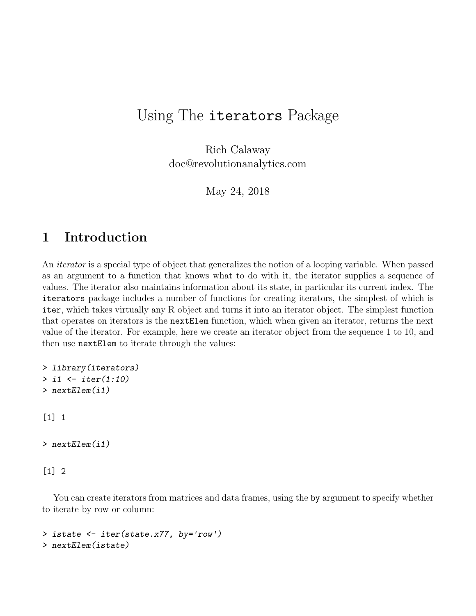## Using The iterators Package

Rich Calaway doc@revolutionanalytics.com

May 24, 2018

## 1 Introduction

An iterator is a special type of object that generalizes the notion of a looping variable. When passed as an argument to a function that knows what to do with it, the iterator supplies a sequence of values. The iterator also maintains information about its state, in particular its current index. The iterators package includes a number of functions for creating iterators, the simplest of which is iter, which takes virtually any R object and turns it into an iterator object. The simplest function that operates on iterators is the nextElem function, which when given an iterator, returns the next value of the iterator. For example, here we create an iterator object from the sequence 1 to 10, and then use nextElem to iterate through the values:

```
> library(iterators)
> i1 <- iter(1:10)
> nextElem(i1)
[1] 1
> nextElem(i1)
[1] 2
```
You can create iterators from matrices and data frames, using the by argument to specify whether to iterate by row or column:

```
> istate <- iter(state.x77, by='row')
> nextElem(istate)
```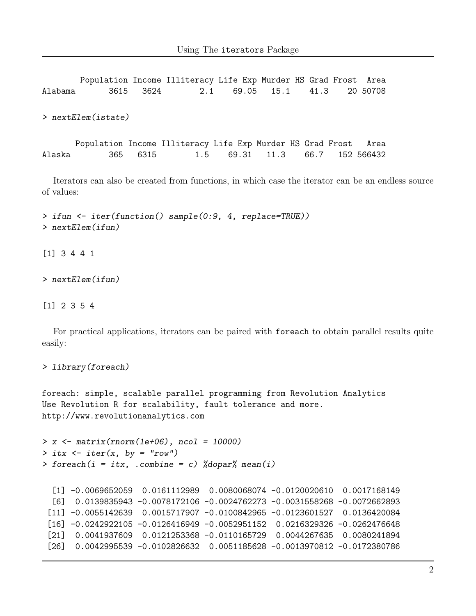Population Income Illiteracy Life Exp Murder HS Grad Frost Area Alabama 3615 3624 2.1 69.05 15.1 41.3 20 50708 > nextElem(istate) Population Income Illiteracy Life Exp Murder HS Grad Frost Area Alaska 365 6315 1.5 69.31 11.3 66.7 152 566432

Iterators can also be created from functions, in which case the iterator can be an endless source of values:

> ifun <- iter(function() sample(0:9, 4, replace=TRUE)) > nextElem(ifun)

[1] 3 4 4 1

> nextElem(ifun)

[1] 2 3 5 4

For practical applications, iterators can be paired with foreach to obtain parallel results quite easily:

```
> library(foreach)
```
foreach: simple, scalable parallel programming from Revolution Analytics Use Revolution R for scalability, fault tolerance and more. http://www.revolutionanalytics.com

```
> x \leftarrow matrix(rnorm(1e+06), ncol = 10000)> itx \le iter(x, by = "row")
> foreach(i = itx, .combine = c) %dopar% mean(i)
```

```
[1] -0.0069652059 0.0161112989 0.0080068074 -0.0120020610 0.0017168149
[6] 0.0139835943 -0.0078172106 -0.0024762273 -0.0031558268 -0.0072662893
[11] -0.0055142639 0.0015717907 -0.0100842965 -0.0123601527 0.0136420084
[16] -0.0242922105 -0.0126416949 -0.0052951152 0.0216329326 -0.0262476648
[21] 0.0041937609 0.0121253368 -0.0110165729 0.0044267635 0.0080241894
[26] 0.0042995539 -0.0102826632 0.0051185628 -0.0013970812 -0.0172380786
```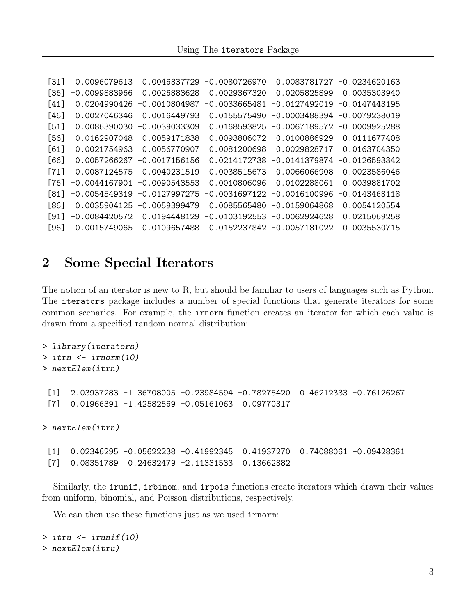```
[31] 0.0096079613 0.0046837729 -0.0080726970 0.0083781727 -0.0234620163
[36] -0.0099883966 0.0026883628 0.0029367320 0.0205825899 0.0035303940
[41] 0.0204990426 -0.0010804987 -0.0033665481 -0.0127492019 -0.0147443195
[46] 0.0027046346 0.0016449793 0.0155575490 -0.0003488394 -0.0079238019
[51] 0.0086390030 -0.0039033309 0.0168593825 -0.0067189572 -0.0009925288
[56] -0.0162907048 -0.0059171838 0.0093806072 0.0100886929 -0.0111677408
[61] 0.0021754963 -0.0056770907 0.0081200698 -0.0029828717 -0.0163704350
[66] 0.0057266267 -0.0017156156 0.0214172738 -0.0141379874 -0.0126593342
[71] 0.0087124575 0.0040231519 0.0038515673 0.0066066908 0.0023586046
[76] -0.0044167901 -0.0090543553 0.0010806096 0.0102288061 0.0039881702
[81] -0.0054549319 -0.0127997275 -0.0031697122 -0.0016100996 -0.0143468118
[86] 0.0035904125 -0.0059399479 0.0085565480 -0.0159064868 0.0054120554
[91] -0.0084420572 0.0194448129 -0.0103192553 -0.0062924628 0.0215069258
[96] 0.0015749065 0.0109657488 0.0152237842 -0.0057181022 0.0035530715
```
## 2 Some Special Iterators

The notion of an iterator is new to R, but should be familiar to users of languages such as Python. The iterators package includes a number of special functions that generate iterators for some common scenarios. For example, the irnorm function creates an iterator for which each value is drawn from a specified random normal distribution:

```
> library(iterators)
> itrn <- irnorm(10)
> nextElem(itrn)
 [1] 2.03937283 -1.36708005 -0.23984594 -0.78275420 0.46212333 -0.76126267
 [7] 0.01966391 -1.42582569 -0.05161063 0.09770317
> nextElem(itrn)
 [1] 0.02346295 -0.05622238 -0.41992345 0.41937270 0.74088061 -0.09428361
 [7] 0.08351789 0.24632479 -2.11331533 0.13662882
```
Similarly, the irunif, irbinom, and irpois functions create iterators which drawn their values from uniform, binomial, and Poisson distributions, respectively.

We can then use these functions just as we used **irnorm**:

```
> itru <- irunif(10)
> nextElem(itru)
```